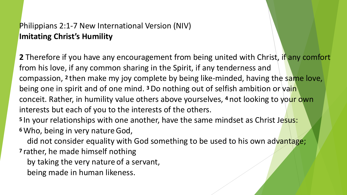### Philippians 2:1-7 New International Version (NIV) **Imitating Christ's Humility**

**2** Therefore if you have any encouragement from being united with Christ, if any comfort from his love, if any common sharing in the Spirit, if any tenderness and compassion, **2** then make my joy complete by being like-minded, having the same love, being one in spirit and of one mind. **3** Do nothing out of selfish ambition or vain conceit. Rather, in humility value others above yourselves, **4** not looking to your own interests but each of you to the interests of the others.

<sup>5</sup> In your relationships with one another, have the same mindset as Christ Jesus: **<sup>6</sup>**Who, being in very natureGod,

did not consider equality with God something to be used to his own advantage;

**<sup>7</sup>**rather, he made himself nothing

by taking the very nature of a servant,

being made in human likeness.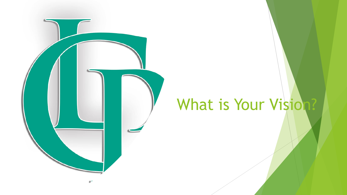

## What is Your Vision?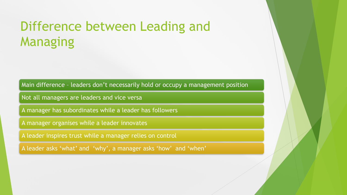### Difference between Leading and Managing

Main difference – leaders don't necessarily hold or occupy a management position

Not all managers are leaders and vice versa

A manager has subordinates while a leader has followers

A manager organises while a leader innovates

A leader inspires trust while a manager relies on control

A leader asks 'what' and 'why', a manager asks 'how' and 'when'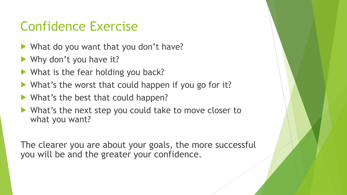## Confidence Exercise

- ! What do you want that you don't have?
- $\blacktriangleright$  Why don't you have it?
- $\blacktriangleright$  What is the fear holding you back?
- ! What's the worst that could happen if you go for it?
- What's the best that could happen?
- What's the next step you could take to move closer to what you want?

The clearer you are about your goals, the more successful you will be and the greater your confidence.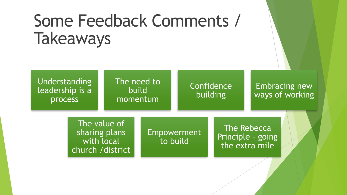# Some Feedback Comments / **Takeaways**

Understanding leadership is a process

### The need to build momentum

### **Confidence** building

### Embracing new ways of working

The value of sharing plans with local church /district

Empowerment to build

The Rebecca Principle – going the extra mile